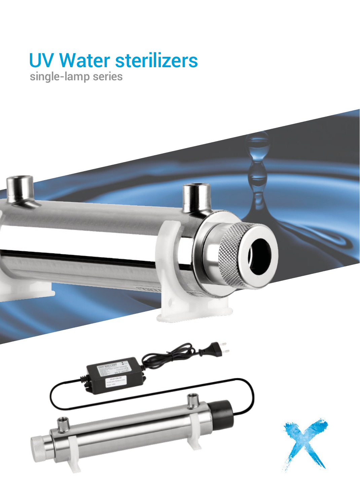# UV Water sterilizers single-lamp series

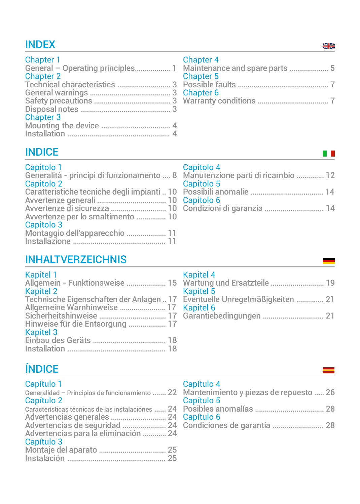# INDEX

| <b>Chapter 1</b>                 |  |
|----------------------------------|--|
| General - Operating principles 1 |  |
| Chapter 2                        |  |
| Technical characteristics  3     |  |
|                                  |  |
|                                  |  |
|                                  |  |
| <b>Chapter 3</b>                 |  |
|                                  |  |
|                                  |  |

## Chapter 4

| <b>Chapter 5</b> |  |
|------------------|--|
|                  |  |
| Chapter 6        |  |
|                  |  |

# **INDICE**

| Capitolo 1<br>Capitolo 2                        | Capitolo 4<br>Generalità - principi di funzionamento  8 Manutenzione parti di ricambio  12<br>Capitolo 5 |
|-------------------------------------------------|----------------------------------------------------------------------------------------------------------|
|                                                 | Caratteristiche tecniche degli impianti  10 Possibili anomalie  14                                       |
| Avvertenze per lo smaltimento  10<br>Capitolo 3 | 41 Avvertenze di sicurezza ………………………… 10 Condizioni di garanzia ………………………… 14                            |
| Montaggio dell'apparecchio  11                  |                                                                                                          |

# INHALTVERZEICHNIS

| <b>Kapitel 1</b>                         |  |
|------------------------------------------|--|
| Allgemein - Funktionsweise  15           |  |
| <b>Kapitel 2</b>                         |  |
| Technische Eigenschaften der Anlagen  17 |  |
|                                          |  |
|                                          |  |
| Hinweise für die Entsorgung  17          |  |
| <b>Kapitel 3</b>                         |  |
|                                          |  |
|                                          |  |

| <b>Kapitel 4</b>                                          |  |
|-----------------------------------------------------------|--|
| Wartung und Ersatzteile  19                               |  |
| Kapitel <sub>5</sub><br>Eventuelle Unregelmäßigkeiten  21 |  |
| <b>Kapitel 6</b>                                          |  |

# ÍNDICE

| Capítulo 1 |  |
|------------|--|
|            |  |
|            |  |

| Generalidad - Principios de funcionamiento  22    |  |
|---------------------------------------------------|--|
| Capítulo 2                                        |  |
| Características técnicas de las instalaciónes  24 |  |
|                                                   |  |
|                                                   |  |
| Advertencias para la eliminación  24              |  |
| Capítulo 3                                        |  |
|                                                   |  |
|                                                   |  |

## Capítulo 4

| Mantenimiento y piezas de repuesto  26 |  |
|----------------------------------------|--|
| Capítulo 5                             |  |
|                                        |  |
| Capítulo 6                             |  |
|                                        |  |

## 질의

**THE**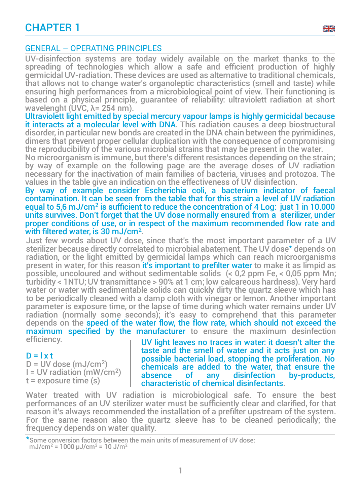

UV-disinfection systems are today widely available on the market thanks to the spreading of technologies which allow a safe and efficient production of highly germicidal UV-radiation. These devices are used as alternative to traditional chemicals, that allows not to change water's organoleptic characteristics (smell and taste) while ensuring high performances from a microbiological point of view. Their functioning is based on a physical principle, guarantee of reliability: ultraviolett radiation at short wavelenght (UVC,  $λ = 254$  nm).

Ultraviolett light emitted by special mercury vapour lamps is highly germicidal because it interacts at a molecular level with DNA. This radiation causes a deep biostructural disorder, in particular new bonds are created in the DNA chain between the pyrimidines, dimers that prevent proper cellular duplication with the consequence of compromising the reproducibility of the various microbial strains that may be present in the water.

No microorganism is immune, but there's different resistances depending on the strain; by way of example on the following page are the average doses of UV radiation necessary for the inactivation of main families of bacteria, viruses and protozoa. The values in the table give an indication on the effectiveness of UV disinfection.

By way of example consider Escherichia coli, a bacterium indicator of faecal contamination. It can be seen from the table that for this strain a level of UV radiation equal to 5,6 mJ/cm<sup>2</sup> is sufficient to reduce the concentration of 4 Log: just 1 in 10.000 units survives. Don't forget that the UV dose normally ensured from a sterilizer, under proper conditions of use, or in respect of the maximum recommended flow rate and with filtered water, is 30 mJ/cm<sup>2</sup> .

Just few words about UV dose, since that's the most important parameter of a UV sterilizer because directly correlated to microbial abatement. The UV dose\* depends on radiation, or the light emitted by germicidal lamps which can reach microorganisms present in water, for this reason it's important to prefilter water to make it as limpid as possible, uncoloured and without sedimentable solids  $(< 0.2$  ppm Fe,  $< 0.05$  ppm Mn; turbidity < 1NTU; UV transmittance > 90% at 1 cm; low calcareous hardness). Very hard water or water with sedimentable solids can quickly dirty the quartz sleeve which has to be periodically cleaned with a damp cloth with vinegar or lemon. Another important parameter is exposure time, or the lapse of time during which water remains under UV radiation (normally some seconds); it's easy to comprehend that this parameter depends on the speed of the water flow, the flow rate, which should not exceed the maximum specified by the manufacturer to ensure the maximum desinfection efficiency.

#### $D = I \times t$

 $D = UV$  dose (mJ/cm<sup>2</sup>) I = UV radiation (mW/cm<sup>2</sup> )  $t =$  exposure time  $(s)$ 

UV light leaves no traces in water: it doesn't alter the taste and the smell of water and it acts just on any possible bacterial load, stopping the proliferation. No chemicals are added to the water, that ensure the<br>absence of any disinfection by-products, disinfection characteristic of chemical disinfectants.

گاچ

Water treated with UV radiation is microbiological safe. To ensure the best performances of an UV sterilizer water must be sufficiently clear and clarified, for that reason it's always recommended the installation of a prefilter upstream of the system. For the same reason also the quartz sleeve has to be cleaned periodically; the frequency depends on water quality.

1

\*Some conversion factors between the main units of measurement of UV dose: mJ/cm<sup>2</sup> = 1000  $\mu$ J/cm<sup>2</sup> = 10 J/m<sup>2</sup>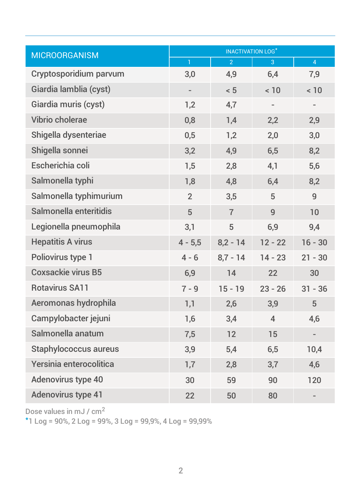| <b>INACTIVATION LOG*</b><br><b>MICROORGANISM</b> |                          |                |                |                |
|--------------------------------------------------|--------------------------|----------------|----------------|----------------|
|                                                  | $\mathbf{1}$             | $\overline{2}$ | 3              | $\overline{4}$ |
| Cryptosporidium parvum                           | 3,0                      | 4,9            | 6,4            | 7,9            |
| Giardia lamblia (cyst)                           | $\overline{\phantom{a}}$ | < 5            | < 10           | < 10           |
| Giardia muris (cyst)                             | 1,2                      | 4,7            |                |                |
| Vibrio cholerae                                  | 0,8                      | 1,4            | 2,2            | 2,9            |
| Shigella dysenteriae                             | 0,5                      | 1,2            | 2,0            | 3,0            |
| Shigella sonnei                                  | 3,2                      | 4,9            | 6,5            | 8,2            |
| Escherichia coli                                 | 1,5                      | 2,8            | 4,1            | 5,6            |
| Salmonella typhi                                 | 1,8                      | 4,8            | 6,4            | 8,2            |
| Salmonella typhimurium                           | $\overline{2}$           | 3,5            | 5              | 9              |
| Salmonella enteritidis                           | 5                        | $\overline{7}$ | 9              | 10             |
| Legionella pneumophila                           | 3,1                      | 5              | 6,9            | 9,4            |
| <b>Hepatitis A virus</b>                         | $4 - 5,5$                | $8,2 - 14$     | $12 - 22$      | $16 - 30$      |
| Poliovirus type 1                                | $4 - 6$                  | $8.7 - 14$     | $14 - 23$      | $21 - 30$      |
| <b>Coxsackie virus B5</b>                        | 6,9                      | 14             | 22             | 30             |
| <b>Rotavirus SA11</b>                            | $7 - 9$                  | $15 - 19$      | $23 - 26$      | $31 - 36$      |
| Aeromonas hydrophila                             | 1,1                      | 2,6            | 3,9            | 5              |
| Campylobacter jejuni                             | 1,6                      | 3,4            | $\overline{4}$ | 4,6            |
| Salmonella anatum                                | 7,5                      | 12             | 15             |                |
| <b>Staphylococcus aureus</b>                     | 3,9                      | 5,4            | 6,5            | 10,4           |
| Yersinia enterocolitica                          | 1,7                      | 2,8            | 3,7            | 4,6            |
| Adenovirus type 40                               | 30                       | 59             | 90             | 120            |
| <b>Adenovirus type 41</b>                        | 22                       | 50             | 80             |                |

Dose values in mJ / cm<sup>2</sup>

\*1 Log = 90%, 2 Log = 99%, 3 Log = 99,9%, 4 Log = 99,99%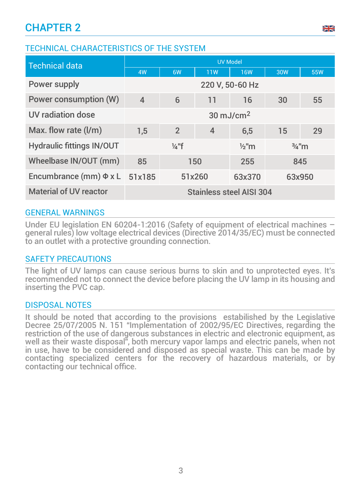## TECHNICAL CHARACTERISTICS OF THE SYSTEM

| <b>Technical data</b>            | <b>UV Model</b>                                          |                |                |            |            |            |
|----------------------------------|----------------------------------------------------------|----------------|----------------|------------|------------|------------|
|                                  | 4W                                                       | 6W             | 11W            | <b>16W</b> | <b>30W</b> | <b>55W</b> |
| Power supply                     | 220 V, 50-60 Hz                                          |                |                |            |            |            |
| <b>Power consumption (W)</b>     | $\overline{4}$                                           | 6              | 11             | 16         | 30         | 55         |
| UV radiation dose                | $30 \text{ mJ/cm}^2$                                     |                |                |            |            |            |
| Max. flow rate (I/m)             | 1,5                                                      | $\overline{2}$ | $\overline{4}$ | 6,5        | 15         | 29         |
| <b>Hydraulic fittings IN/OUT</b> | $\frac{1}{4}$ "f<br>$\frac{3}{4}$ "m<br>$\frac{1}{2}$ "m |                |                |            |            |            |
| Wheelbase IN/OUT (mm)            | 85<br>150<br>255<br>845                                  |                |                |            |            |            |
| Encumbrance (mm) $\Phi$ x L      | 51x185<br>63x950<br>51x260<br>63x370                     |                |                |            |            |            |
| <b>Material of UV reactor</b>    | Stainless steel AISI 304                                 |                |                |            |            |            |

## GENERAL WARNINGS

Under EU legislation EN 60204-1:2016 (Safety of equipment of electrical machines – general rules) low voltage electrical devices (Directive 2014/35/EC) must be connected to an outlet with a protective grounding connection.

#### SAFETY PRECAUTIONS

The light of UV lamps can cause serious burns to skin and to unprotected eyes. It's recommended not to connect the device before placing the UV lamp in its housing and inserting the PVC cap.

#### DISPOSAL NOTES

It should be noted that according to the provisions estabilished by the Legislative Decree 25/07/2005 N. 151 "Implementation of 2002/95/EC Directives, regarding the restriction of the use of dangerous substances in electric and electronic equipment, as well as their waste disposal", both mercury vapor lamps and electric panels, when not in use, have to be considered and disposed as special waste. This can be made by contacting specialized centers for the recovery of hazardous materials, or by contacting our technical office.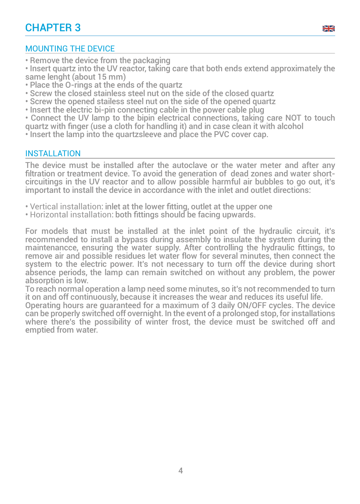## MOUNTING THE DEVICE

• Remove the device from the packaging

• Insert quartz into the UV reactor, taking care that both ends extend approximately the same lenght (about 15 mm)

گاچ

- Place the O-rings at the ends of the quartz
- Screw the closed stainless steel nut on the side of the closed quartz
- Screw the opened stailess steel nut on the side of the opened quartz
- Insert the electric bi-pin connecting cable in the power cable plug
- Connect the UV lamp to the bipin electrical connections, taking care NOT to touch
- quartz with finger (use a cloth for handling it) and in case clean it with alcohol
- Insert the lamp into the quartzsleeve and place the PVC cover cap.

## INSTALLATION

The device must be installed after the autoclave or the water meter and after any filtration or treatment device. To avoid the generation of dead zones and water shortcircuitings in the UV reactor and to allow possible harmful air bubbles to go out, it's important to install the device in accordance with the inlet and outlet directions:

- Vertical installation: inlet at the lower fitting, outlet at the upper one
- Horizontal installation: both fittings should be facing upwards.

For models that must be installed at the inlet point of the hydraulic circuit, it's recommended to install a bypass during assembly to insulate the system during the maintenancce, ensuring the water supply. After controlling the hydraulic fittings, to remove air and possible residues let water flow for several minutes, then connect the system to the electric power. It's not necessary to turn off the device during short absence periods, the lamp can remain switched on without any problem, the power absorption is low.

To reach normal operation a lamp need some minutes, so it's not recommended to turn it on and off continuously, because it increases the wear and reduces its useful life.

Operating hours are guaranteed for a maximum of 3 daily ON/OFF cycles. The device can be properly switched off overnight. In the event of a prolonged stop, for installations where there's the possibility of winter frost, the device must be switched off and emptied from water.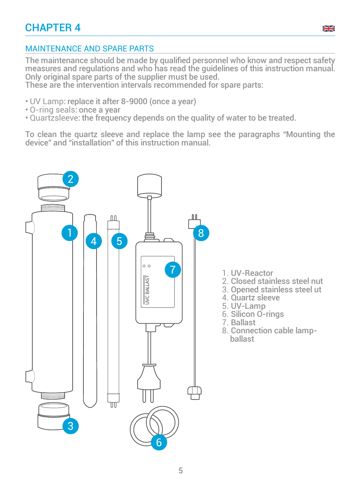

## MAINTENANCE AND SPARE PARTS

The maintenance should be made by qualified personnel who know and respect safety measures and regulations and who has read the guidelines of this instruction manual. Only original spare parts of the supplier must be used.

These are the intervention intervals recommended for spare parts:

- UV Lamp: replace it after 8-9000 (once a year)
- O-ring seals: once a year
- Quartzsleeve: the frequency depends on the quality of water to be treated.

To clean the quartz sleeve and replace the lamp see the paragraphs "Mounting the device" and "installation" of this instruction manual.

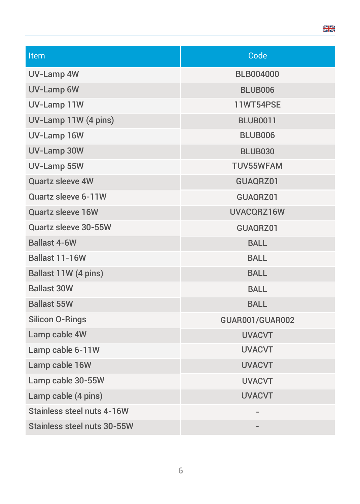| <b>Item</b>                 | Code                   |
|-----------------------------|------------------------|
| <b>UV-Lamp 4W</b>           | <b>BLB004000</b>       |
| <b>UV-Lamp 6W</b>           | BLUB006                |
| UV-Lamp 11W                 | <b>11WT54PSE</b>       |
| UV-Lamp 11W (4 pins)        | <b>BLUB0011</b>        |
| UV-Lamp 16W                 | <b>BLUB006</b>         |
| UV-Lamp 30W                 | <b>BLUB030</b>         |
| UV-Lamp 55W                 | <b>TUV55WFAM</b>       |
| Quartz sleeve 4W            | GUAQRZ01               |
| Quartz sleeve 6-11W         | GUAQRZ01               |
| <b>Quartz sleeve 16W</b>    | UVACQRZ16W             |
| Quartz sleeve 30-55W        | GUAQRZ01               |
| <b>Ballast 4-6W</b>         | <b>BALL</b>            |
| Ballast 11-16W              | <b>BALL</b>            |
| Ballast 11W (4 pins)        | <b>BALL</b>            |
| <b>Ballast 30W</b>          | <b>BALL</b>            |
| <b>Ballast 55W</b>          | <b>BALL</b>            |
| <b>Silicon O-Rings</b>      | <b>GUAR001/GUAR002</b> |
| Lamp cable 4W               | <b>UVACVT</b>          |
| Lamp cable 6-11W            | <b>UVACVT</b>          |
| Lamp cable 16W              | <b>UVACVT</b>          |
| Lamp cable 30-55W           | <b>UVACVT</b>          |
| Lamp cable (4 pins)         | <b>UVACVT</b>          |
| Stainless steel nuts 4-16W  |                        |
| Stainless steel nuts 30-55W |                        |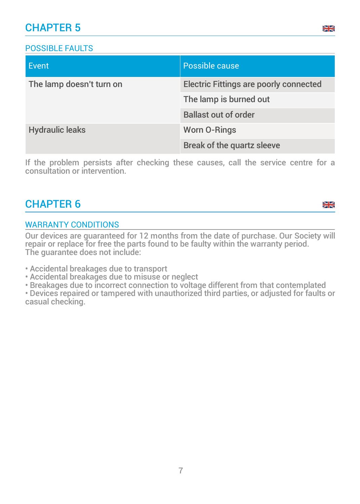## CHAPTER 5

## POSSIBLE FAULTS

| Event                    | Possible cause                                |
|--------------------------|-----------------------------------------------|
| The lamp doesn't turn on | <b>Electric Fittings are poorly connected</b> |
|                          | The lamp is burned out                        |
|                          | <b>Ballast out of order</b>                   |
| <b>Hydraulic leaks</b>   | <b>Worn O-Rings</b>                           |
|                          | <b>Break of the quartz sleeve</b>             |

If the problem persists after checking these causes, call the service centre for a consultation or intervention.

## CHAPTER 6

#### <sub>정</sub>요

### WARRANTY CONDITIONS

Our devices are guaranteed for 12 months from the date of purchase. Our Society will repair or replace for free the parts found to be faulty within the warranty period. The guarantee does not include:

• Accidental breakages due to transport

• Accidental breakages due to misuse or neglect

• Breakages due to incorrect connection to voltage different from that contemplated

• Devices repaired or tampered with unauthorized third parties, or adjusted for faults or casual checking.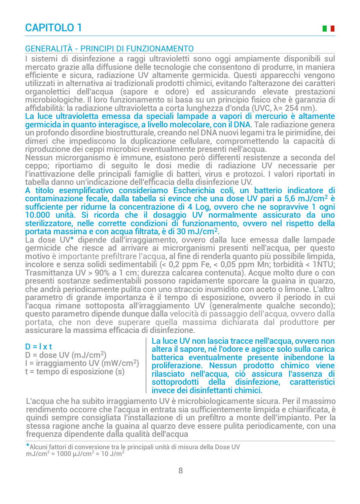## CAPITOLO 1

## GENERALITÀ - PRINCIPI DI FUNZIONAMENTO

I sistemi di disinfezione a raggi ultravioletti sono oggi ampiamente disponibili sul mercato grazie alla diffusione delle tecnologie che consentono di produrre, in maniera efficiente e sicura, radiazione UV altamente germicida. Questi apparecchi vengono utilizzati in alternativa ai tradizionali prodotti chimici, evitando l'alterazone dei caratteri organolettici dell'acqua (sapore e odore) ed assicurando elevate prestazioni microbiologiche. Il loro funzionamento si basa su un principio fisico che è garanzia di affidabilità: la radiazione ultravioletta a corta lunghezza d'onda (UVC, λ= 254 nm).

La luce ultravioletta emessa da speciali lampade a vapori di mercurio è altamente germicida in quanto interagisce, a livello molecolare, con il DNA. Tale radiazione genera un profondo disordine biostrutturale, creando nel DNA nuovi legami tra le pirimidine, dei dimeri che impediscono la duplicazione cellulare, compromettendo la capacità di riproduzione dei ceppi microbici eventualmente presenti nell'acqua.

Nessun microrganismo è immune, esistono però differenti resistenze a seconda del ceppo; riportiamo di seguito le dosi medie di radiazione UV necessarie per l'inattivazione delle principali famiglie di batteri, virus e protozoi. I valori riportati in tabella danno un'indicazione dell'efficacia della disinfezione UV.

A titolo esemplificativo consideriamo Escherichia coli, un batterio indicatore di contaminazione fecale, dalla tabella si evince che una dose UV pari a 5,6 mJ/cm<sup>2</sup> è sufficiente per ridurne la concentrazione di 4 Log, ovvero che ne sopravvive 1 ogni 10.000 unità. Si ricorda che il dosaggio UV normalmente assicurato da uno sterilizzatore, nelle corrette condizioni di funzionamento, ovvero nel rispetto della portata massima e con acqua filtrata, è di 30 mJ/cm<sup>2</sup> .

La dose UV\* dipende dall'irraggiamento, ovvero dalla luce emessa dalle lampade germicide che riesce ad arrivare ai microrganismi presenti nell'acqua, per questo motivo è importante prefiltrare l'acqua, al fine di renderla quanto più possibile limpida, incolore e senza solidi sedimentabili (< 0,2 ppm Fe, < 0,05 ppm Mn; torbidità < 1NTU; Trasmittanza UV > 90% a 1 cm; durezza calcarea contenuta). Acque molto dure o con presenti sostanze sedimentabili possono rapidamente sporcare la guaina in quarzo, che andrà periodicamente pulita con uno straccio inumidito con aceto o limone. L'altro parametro di grande importanza è il tempo di esposizione, ovvero il periodo in cui l'acqua rimane sottoposta all'irraggiamento UV (generalmente qualche secondo); questo parametro dipende dunque dalla velocità di passaggio dell'acqua, ovvero dalla portata, che non deve superare quella massima dichiarata dal produttore per assicurare la massima efficacia di disinfezione.

#### $D = l \times t$

 $D =$  dose UV (mJ/cm<sup>2</sup>) I = irraggiamento UV (mW/cm<sup>2</sup> ) t = tempo di esposizione (s)

La luce UV non lascia tracce nell'acqua, ovvero non altera il sapore, né l'odore e agisce solo sulla carica batterica eventualmente presente inibendone la proliferazione. Nessun prodotto chimico viene rilasciato nell'acqua, ciò assicura l'assenza di sottoprodotti della disinfezione, invece dei disinfettanti chimici.

L'acqua che ha subito irraggiamento UV è microbiologicamente sicura. Per il massimo rendimento occorre che l'acqua in entrata sia sufficientemente limpida e chiarificata, è quindi sempre consigliata l'installazione di un prefiltro a monte dell'impianto. Per la stessa ragione anche la guaina al quarzo deve essere pulita periodicamente, con una frequenza dipendente dalla qualità dell'acqua

\*Alcuni fattori di conversione tra le principali unità di misura della Dose UV mJ/cm<sup>2</sup> = 1000  $\mu$ J/cm<sup>2</sup> = 10 J/m<sup>2</sup>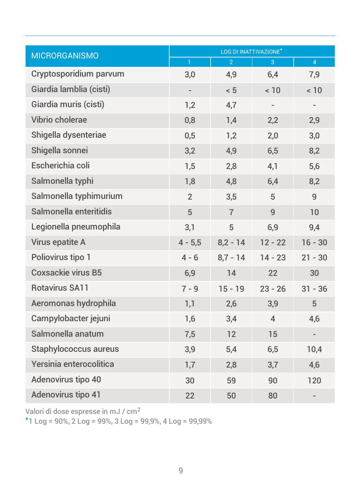| <b>MICRORGANISMO</b>         | LOG DI INATTIVAZIONE <sup>*</sup> |                |                |                |  |  |
|------------------------------|-----------------------------------|----------------|----------------|----------------|--|--|
|                              | $\mathbf{1}$                      | $\overline{2}$ | 3              | $\overline{4}$ |  |  |
| Cryptosporidium parvum       | 3,0                               | 4,9            | 6,4            | 7,9            |  |  |
| Giardia lamblia (cisti)      | $\overline{\phantom{a}}$          | < 5            | < 10           | < 10           |  |  |
| Giardia muris (cisti)        | 1,2                               | 4,7            |                |                |  |  |
| Vibrio cholerae              | 0,8                               | 1,4            | 2,2            | 2,9            |  |  |
| Shigella dysenteriae         | 0,5                               | 1,2            | 2,0            | 3,0            |  |  |
| Shigella sonnei              | 3,2                               | 4,9            | 6,5            | 8,2            |  |  |
| Escherichia coli             | 1,5                               | 2,8            | 4,1            | 5,6            |  |  |
| Salmonella typhi             | 1,8                               | 4,8            | 6,4            | 8,2            |  |  |
| Salmonella typhimurium       | $\overline{2}$                    | 3,5            | 5              | 9              |  |  |
| Salmonella enteritidis       | 5                                 | $\overline{7}$ | 9              | 10             |  |  |
| Legionella pneumophila       | 3,1                               | 5              | 6,9            | 9,4            |  |  |
| Virus epatite A              | $4 - 5,5$                         | $8,2 - 14$     | $12 - 22$      | $16 - 30$      |  |  |
| Poliovirus tipo 1            | $4 - 6$                           | $8.7 - 14$     | $14 - 23$      | $21 - 30$      |  |  |
| <b>Coxsackie virus B5</b>    | 6,9                               | 14             | 22             | 30             |  |  |
| <b>Rotavirus SA11</b>        | $7 - 9$                           | $15 - 19$      | $23 - 26$      | $31 - 36$      |  |  |
| Aeromonas hydrophila         | 1,1                               | 2,6            | 3,9            | 5              |  |  |
| Campylobacter jejuni         | 1,6                               | 3,4            | $\overline{4}$ | 4,6            |  |  |
| Salmonella anatum            | 7,5                               | 12             | 15             |                |  |  |
| <b>Staphylococcus aureus</b> | 3,9                               | 5,4            | 6,5            | 10,4           |  |  |
| Yersinia enterocolitica      | 1,7                               | 2,8            | 3,7            | 4,6            |  |  |
| Adenovirus tipo 40           | 30                                | 59             | 90             | 120            |  |  |
| Adenovirus tipo 41           | 22                                | 50             | 80             |                |  |  |

Valori di dose espresse in mJ / cm<sup>2</sup>

\*1 Log = 90%, 2 Log = 99%, 3 Log = 99,9%, 4 Log = 99,99%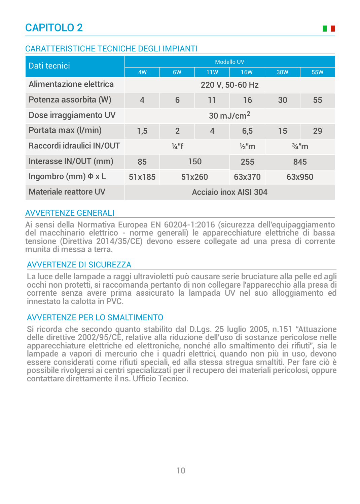## CARATTERISTICHE TECNICHE DEGLI IMPIANTI

| Dati tecnici              | <b>Modello UV</b>                                        |                 |                |            |        |            |
|---------------------------|----------------------------------------------------------|-----------------|----------------|------------|--------|------------|
|                           | 4W                                                       | 6W              | 11W            | <b>16W</b> | 30W    | <b>55W</b> |
| Alimentazione elettrica   |                                                          | 220 V, 50-60 Hz |                |            |        |            |
| Potenza assorbita (W)     | $\overline{4}$                                           | 6               | 11             | 16         | 30     | 55         |
| Dose irraggiamento UV     | $30 \text{ mJ/cm}^2$                                     |                 |                |            |        |            |
| Portata max (I/min)       | 1.5                                                      | $\overline{2}$  | $\overline{4}$ | 6,5        | 15     | 29         |
| Raccordi idraulici IN/OUT | $\frac{1}{4}$ "f<br>$\frac{1}{2}$ "m<br>$\frac{3}{4}$ "m |                 |                |            |        |            |
| Interasse IN/OUT (mm)     | 150<br>85                                                |                 | 255            | 845        |        |            |
| Ingombro (mm) $\Phi$ x L  | 51x185<br>51x260                                         |                 | 63x370         |            | 63x950 |            |
| Materiale reattore UV     | Acciaio inox AISI 304                                    |                 |                |            |        |            |

## AVVERTENZE GENERALI

Ai sensi della Normativa Europea EN 60204-1:2016 (sicurezza dell'equipaggiamento del macchinario elettrico - norme generali) le apparecchiature elettriche di bassa tensione (Direttiva 2014/35/CE) devono essere collegate ad una presa di corrente munita di messa a terra.

## AVVERTENZE DI SICUREZZA

La luce delle lampade a raggi ultravioletti può causare serie bruciature alla pelle ed agli occhi non protetti, si raccomanda pertanto di non collegare l'apparecchio alla presa di corrente senza avere prima assicurato la lampada UV nel suo alloggiamento ed innestato la calotta in PVC.

## AVVERTENZE PER LO SMALTIMENTO

Si ricorda che secondo quanto stabilito dal D.Lgs. 25 luglio 2005, n.151 "Attuazione delle direttive 2002/95/CE, relative alla riduzione dell'uso di sostanze pericolose nelle apparecchiature elettriche ed elettroniche, nonché allo smaltimento dei rifiuti", sia le lampade a vapori di mercurio che i quadri elettrici, quando non più in uso, devono essere considerati come rifiuti speciali, ed alla stessa stregua smaltiti. Per fare ciò è possibile rivolgersi ai centri specializzati per il recupero dei materiali pericolosi, oppure contattare direttamente il ns. Ufficio Tecnico.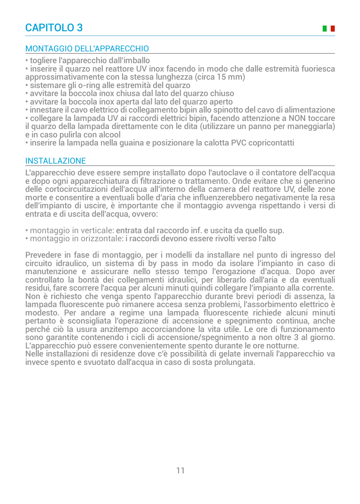## MONTAGGIO DELL'APPARECCHIO

• togliere l'apparecchio dall'imballo

• inserire il quarzo nel reattore UV inox facendo in modo che dalle estremità fuoriesca approssimativamente con la stessa lunghezza (circa 15 mm)

- sistemare gli o-ring alle estremità del quarzo
- avvitare la boccola inox chiusa dal lato del quarzo chiuso
- avvitare la boccola inox aperta dal lato del quarzo aperto

• innestare il cavo elettrico di collegamento bipin allo spinotto del cavo di alimentazione • collegare la lampada UV ai raccordi elettrici bipin, facendo attenzione a NON toccare il quarzo della lampada direttamente con le dita (utilizzare un panno per maneggiarla)

e in caso pulirla con alcool • inserire la lampada nella guaina e posizionare la calotta PVC copricontatti

### INSTALLAZIONE

L'apparecchio deve essere sempre installato dopo l'autoclave o il contatore dell'acqua e dopo ogni apparecchiatura di filtrazione o trattamento. Onde evitare che si generino delle cortocircuitazioni dell'acqua all'interno della camera del reattore UV, delle zone morte e consentire a eventuali bolle d'aria che influenzerebbero negativamente la resa dell'impianto di uscire, è importante che il montaggio avvenga rispettando i versi di entrata e di uscita dell'acqua, ovvero:

• montaggio in verticale: entrata dal raccordo inf. e uscita da quello sup.

• montaggio in orizzontale: i raccordi devono essere rivolti verso l'alto

Prevedere in fase di montaggio, per i modelli da installare nel punto di ingresso del circuito idraulico, un sistema di by pass in modo da isolare l'impianto in caso di manutenzione e assicurare nello stesso tempo l'erogazione d'acqua. Dopo aver controllato la bontà dei collegamenti idraulici, per liberarlo dall'aria e da eventuali residui, fare scorrere l'acqua per alcuni minuti quindi collegare l'impianto alla corrente. Non è richiesto che venga spento l'apparecchio durante brevi periodi di assenza, la lampada fluorescente può rimanere accesa senza problemi, l'assorbimento elettrico è modesto. Per andare a regime una lampada fluorescente richiede alcuni minuti pertanto è sconsigliata l'operazione di accensione e spegnimento continua, anche perché ciò la usura anzitempo accorciandone la vita utile. Le ore di funzionamento sono garantite contenendo i cicli di accensione/spegnimento a non oltre 3 al giorno. L'apparecchio può essere convenientemente spento durante le ore notturne.

Nelle installazioni di residenze dove c'è possibilità di gelate invernali l'apparecchio va invece spento e svuotato dall'acqua in caso di sosta prolungata.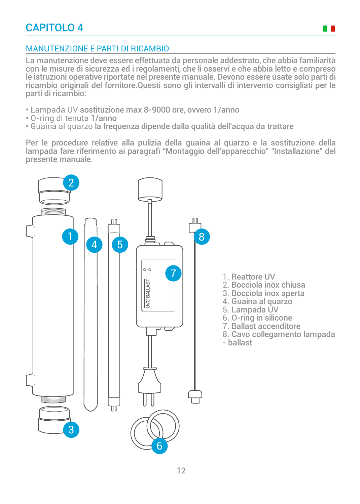

## MANUTENZIONE E PARTI DI RICAMBIO

La manutenzione deve essere effettuata da personale addestrato, che abbia familiarità con le misure di sicurezza ed i regolamenti, che li osservi e che abbia letto e compreso le istruzioni operative riportate nel presente manuale. Devono essere usate solo parti di ricambio originali del fornitore.Questi sono gli intervalli di intervento consigliati per le parti di ricambio:

- Lampada UV sostituzione max 8-9000 ore, ovvero 1/anno
- O-ring di tenuta 1/anno
- Guaina al quarzo la frequenza dipende dalla qualità dell'acqua da trattare

Per le procedure relative alla pulizia della guaina al quarzo e la sostituzione della lampada fare riferimento ai paragrafi "Montaggio dell'apparecchio" "Installazione" del presente manuale.

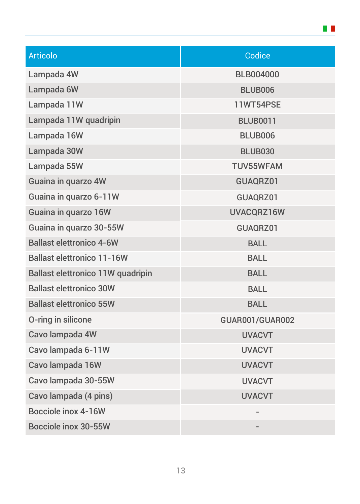| <b>Articolo</b>                   | Codice                 |
|-----------------------------------|------------------------|
| Lampada 4W                        | <b>BLB004000</b>       |
| Lampada 6W                        | <b>BLUB006</b>         |
| Lampada 11W                       | 11WT54PSE              |
| Lampada 11W quadripin             | <b>BLUB0011</b>        |
| Lampada 16W                       | <b>BLUB006</b>         |
| Lampada 30W                       | <b>BLUB030</b>         |
| Lampada 55W                       | <b>TUV55WFAM</b>       |
| Guaina in quarzo 4W               | GUAQRZ01               |
| Guaina in quarzo 6-11W            | GUAQRZ01               |
| Guaina in quarzo 16W              | UVACQRZ16W             |
| Guaina in quarzo 30-55W           | GUAQRZ01               |
| <b>Ballast elettronico 4-6W</b>   | <b>BALL</b>            |
| <b>Ballast elettronico 11-16W</b> | <b>BALL</b>            |
| Ballast elettronico 11W quadripin | <b>BALL</b>            |
| <b>Ballast elettronico 30W</b>    | <b>BALL</b>            |
| <b>Ballast elettronico 55W</b>    | <b>BALL</b>            |
| O-ring in silicone                | <b>GUAR001/GUAR002</b> |
| Cavo lampada 4W                   | <b>UVACVT</b>          |
| Cavo lampada 6-11W                | <b>UVACVT</b>          |
| Cavo lampada 16W                  | <b>UVACVT</b>          |
| Cavo lampada 30-55W               | <b>UVACVT</b>          |
| Cavo lampada (4 pins)             | <b>UVACVT</b>          |
| Bocciole inox 4-16W               |                        |
| Bocciole inox 30-55W              |                        |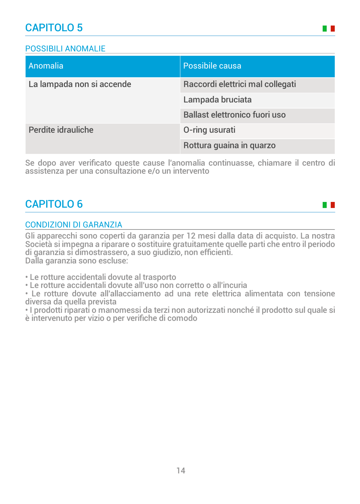## POSSIBILI ANOMALIE

| Anomalia                  | Possibile causa                      |  |
|---------------------------|--------------------------------------|--|
| La lampada non si accende | Raccordi elettrici mal collegati     |  |
|                           | Lampada bruciata                     |  |
|                           | <b>Ballast elettronico fuori uso</b> |  |
| Perdite idrauliche        | O-ring usurati                       |  |
|                           | Rottura guaina in quarzo             |  |

**The Co** 

H H

Se dopo aver verificato queste cause l'anomalia continuasse, chiamare il centro di assistenza per una consultazione e/o un intervento

## CAPITOLO 6

## CONDIZIONI DI GARANZIA

Gli apparecchi sono coperti da garanzia per 12 mesi dalla data di acquisto. La nostra Società si impegna a riparare o sostituire gratuitamente quelle parti che entro il periodo di garanzia si dimostrassero, a suo giudizio, non efficienti. Dalla garanzia sono escluse:

• Le rotture accidentali dovute al trasporto

• Le rotture accidentali dovute all'uso non corretto o all'incuria

• Le rotture dovute all'allacciamento ad una rete elettrica alimentata con tensione diversa da quella prevista

• I prodotti riparati o manomessi da terzi non autorizzati nonché il prodotto sul quale si è intervenuto per vizio o per verifiche di comodo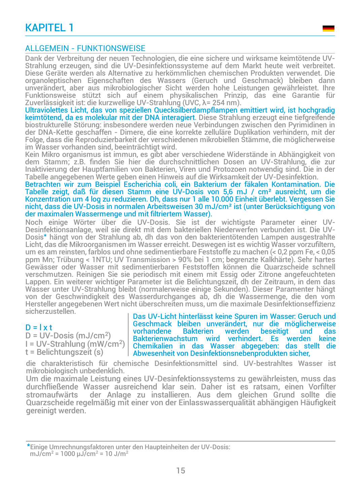## KAPITEL 1

#### ALLGEMEIN - FUNKTIONSWEISE

Dank der Verbreitung der neuen Technologien, die eine sichere und wirksame keimtötende UV-Strahlung erzeugen, sind die UV-Desinfektionssysteme auf dem Markt heute weit verbreitet. Diese Geräte werden als Alternative zu herkömmlichen chemischen Produkten verwendet. Die organoleptischen Eigenschaften des Wassers (Geruch und Geschmack) bleiben dann unverändert, aber aus mikrobiologischer Sicht werden hohe Leistungen gewährleistet. Ihre Funktionsweise stützt sich auf einem physikalischen Prinzip, das eine Garantie für Zuverlässigkeit ist: die kurzwellige UV-Strahlung (UVC, λ= 254 nm).

Ultraviolettes Licht, das von speziellen Quecksilberdampflampen emittiert wird, ist hochgradig keimtötend, da es molekular mit der DNA interagiert. Diese Strahlung erzeugt eine tiefgreifende biostrukturelle Störung: insbesondere werden neue Verbindungen zwischen den Pyrimidinen in der DNA-Kette geschaffen - Dimere, die eine korrekte zelluläre Duplikation verhindern, mit der Folge, dass die Reproduzierbarkeit der verschiedenen mikrobiellen Stämme, die möglicherweise im Wasser vorhanden sind, beeinträchtigt wird.

Kein Mikro organismus ist immun, es gibt aber verschiedene Widerstände in Abhängigkeit von dem Stamm; z.B. finden Sie hier die durchschnittlichen Dosen an UV-Strahlung, die zur Inaktivierung der Hauptfamilien von Bakterien, Viren und Protozoen notwendig sind. Die in der Tabelle angegebenen Werte geben einen Hinweis auf die Wirksamkeit der UV-Desinfektion.

Betrachten wir zum Beispiel Escherichia coli, ein Bakterium der fäkalen Kontamination. Die Tabelle zeigt, daß für diesen Stamm eine UV-Dosis von 5,6 mJ / cm² ausreicht, um die Konzentration um 4 log zu reduzieren. Dh, dass nur 1 alle 10.000 Einheit überlebt. Vergessen Sie nicht, dass die UV-Dosis in normalen Arbeitsweisen 30 mJ/cm² ist (unter Berücksichtigung von der maximalen Wassermenge und mit filtriertem Wasser).

Noch einige Wörter über die UV-Dosis. Sie ist der wichtigste Parameter einer UV-Desinfektionsanlage, weil sie direkt mit dem bakteriellen Niederwerfen verbunden ist. Die UV-Dosis\* hängt von der Strahlung ab, dh das von den bakterientötenden Lampen ausgestrahlte Licht, das die Mikroorganismen im Wasser erreicht. Deswegen ist es wichtig Wasser vorzufiltern, um es am reinsten, farblos und ohne sedimentierbare Feststoffe zu machen (< 0,2 ppm Fe, < 0,05 ppm Mn; Trübung < 1NTU; UV Transmission > 90% bei 1 cm; begrenzte Kalkhärte). Sehr hartes Gewässer oder Wasser mit sedimentierbaren Feststoffen können die Quarzscheide schnell verschmutzen. Reinigen Sie sie periodisch mit einem mit Essig oder Zitrone angefeuchteten Lappen. Ein weiterer wichtiger Parameter ist die Belichtungszeit, dh der Zeitraum, in dem das Wasser unter UV-Strahlung bleibt (normalerweise einige Sekunden). Dieser Paramenter hängt von der Geschwindigkeit des Wasserdurchganges ab, dh die Wassermenge, die den vom Hersteller angegebenen Wert nicht überschreiten muss, um die maximale Desinfektionseffizienz sicherzustellen<sup>-</sup>

#### $D = l \times t$

 $D = UV$ -Dosis (mJ/cm<sup>2</sup>) I = UV-Strahlung (mW/cm<sup>2</sup> ) t = Belichtungszeit (s)

Das UV-Licht hinterlässt keine Spuren im Wasser: Geruch und Geschmack bleiben unverändert, nur die möglicherweise vorhandene Bakterien werden beseitigt und das<br>Bakterienwachstum wird verhindert. Es werden keine Bakterienwachstum wird verhindert. Es Chemikalien in das Wasser abgegeben: das stellt die Abwesenheit von Desinfektionsnebenprodukten sicher,

die charakteristisch für chemische Desinfektionsmittel sind. UV-bestrahltes Wasser ist mikrobiologisch unbedenklich.

Um die maximale Leistung eines UV-Desinfektionssystems zu gewährleisten, muss das durchfließende Wasser ausreichend klar sein. Daher ist es ratsam, einen Vorfilter der Anlage zu installieren. Aus dem gleichen Grund sollte die Quarzscheide regelmäßig mit einer von der Einlasswasserqualität abhängigen Häufigkeit gereinigt werden.

\*Einige Umrechnungsfaktoren unter den Haupteinheiten der UV-Dosis: mJ/cm<sup>2</sup> = 1000  $\mu$ J/cm<sup>2</sup> = 10 J/m<sup>2</sup>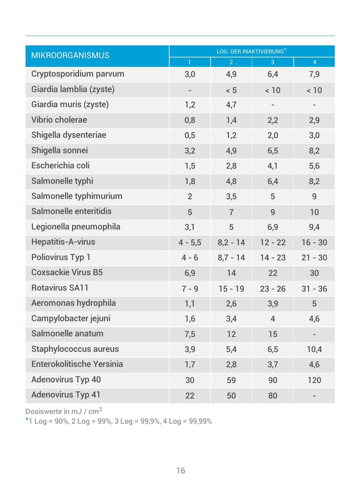| <b>MIKROORGANISMUS</b>           | LOG. DER INAKTIVIERUNG*  |                |                |                |  |  |
|----------------------------------|--------------------------|----------------|----------------|----------------|--|--|
|                                  | $\mathbf{1}$             | $\overline{2}$ | 3              | $\overline{4}$ |  |  |
| Cryptosporidium parvum           | 3,0                      | 4,9            | 6,4            | 7,9            |  |  |
| Giardia lamblia (zyste)          | $\overline{\phantom{a}}$ | < 5            | < 10           | < 10           |  |  |
| Giardia muris (zyste)            | 1,2                      | 4,7            |                |                |  |  |
| Vibrio cholerae                  | 0,8                      | 1,4            | 2,2            | 2,9            |  |  |
| Shigella dysenteriae             | 0,5                      | 1,2            | 2,0            | 3,0            |  |  |
| Shigella sonnei                  | 3,2                      | 4,9            | 6,5            | 8,2            |  |  |
| Escherichia coli                 | 1,5                      | 2,8            | 4,1            | 5,6            |  |  |
| Salmonelle typhi                 | 1,8                      | 4,8            | 6,4            | 8,2            |  |  |
| Salmonelle typhimurium           | $\overline{2}$           | 3,5            | 5              | 9              |  |  |
| Salmonelle enteritidis           | 5                        | $\overline{7}$ | 9              | 10             |  |  |
| Legionella pneumophila           | 3,1                      | 5              | 6,9            | 9,4            |  |  |
| <b>Hepatitis-A-virus</b>         | $4 - 5,5$                | $8,2 - 14$     | $12 - 22$      | $16 - 30$      |  |  |
| <b>Poliovirus Typ 1</b>          | $4 - 6$                  | $8.7 - 14$     | $14 - 23$      | $21 - 30$      |  |  |
| <b>Coxsackie Virus B5</b>        | 6,9                      | 14             | 22             | 30             |  |  |
| <b>Rotavirus SA11</b>            | $7 - 9$                  | $15 - 19$      | $23 - 26$      | $31 - 36$      |  |  |
| Aeromonas hydrophila             | 1,1                      | 2,6            | 3,9            | 5              |  |  |
| Campylobacter jejuni             | 1,6                      | 3,4            | $\overline{4}$ | 4,6            |  |  |
| Salmonelle anatum                | 7,5                      | 12             | 15             |                |  |  |
| <b>Staphylococcus aureus</b>     | 3,9                      | 5,4            | 6,5            | 10,4           |  |  |
| <b>Enterokolitische Yersinia</b> | 1,7                      | 2,8            | 3,7            | 4,6            |  |  |
| <b>Adenovirus Typ 40</b>         | 30                       | 59             | 90             | 120            |  |  |
| <b>Adenovirus Typ 41</b>         | 22                       | 50             | 80             |                |  |  |

Dosiswerte in mJ / cm<sup>2</sup>

\*1 Log = 90%, 2 Log = 99%, 3 Log = 99,9%, 4 Log = 99,99%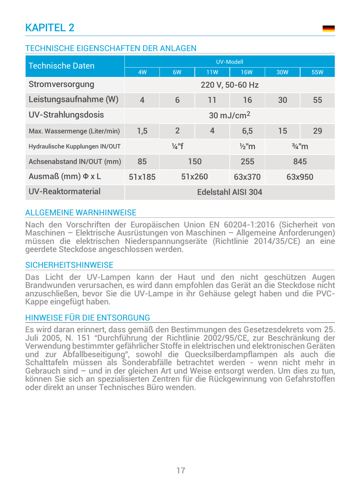## TECHNISCHE EIGENSCHAFTEN DER ANLAGEN

| <b>Technische Daten</b>        | <b>UV-Modell</b>                                         |                |                |            |        |     |
|--------------------------------|----------------------------------------------------------|----------------|----------------|------------|--------|-----|
|                                | 4W                                                       | 6W             | <b>11W</b>     | <b>16W</b> | 30W    | 55W |
| Stromversorgung                | 220 V, 50-60 Hz                                          |                |                |            |        |     |
| Leistungsaufnahme (W)          | $\overline{4}$                                           | 6              | 11             | 16         | 30     | 55  |
| <b>UV-Strahlungsdosis</b>      | $30 \text{ mJ/cm}^2$                                     |                |                |            |        |     |
| Max. Wassermenge (Liter/min)   | 1,5                                                      | $\overline{2}$ | $\overline{4}$ | 6,5        | 15     | 29  |
| Hydraulische Kupplungen IN/OUT | $\frac{1}{4}$ "f<br>$\frac{3}{4}$ "m<br>$\frac{1}{2}$ "m |                |                |            |        |     |
| Achsenabstand IN/OUT (mm)      | 150<br>85                                                |                | 255            |            | 845    |     |
| Ausmaß (mm) $\Phi$ x L         | 51x185<br>51x260                                         |                | 63x370         |            | 63x950 |     |
| UV-Reaktormaterial             | Edelstahl AISI 304                                       |                |                |            |        |     |

## ALLGEMEINE WARNHINWEISE

Nach den Vorschriften der Europäischen Union EN 60204-1:2016 (Sicherheit von Maschinen – Elektrische Ausrüstungen von Maschinen – Allgemeine Anforderungen) müssen die elektrischen Niederspannungseräte (Richtlinie 2014/35/CE) an eine geerdete Steckdose angeschlossen werden.

#### **SICHERHEITSHINWEISE**

Das Licht der UV-Lampen kann der Haut und den nicht geschützen Augen Brandwunden verursachen, es wird dann empfohlen das Gerät an die Steckdose nicht anzuschließen, bevor Sie die UV-Lampe in ihr Gehäuse gelegt haben und die PVC-Kappe eingefügt haben.

## HINWEISE FÜR DIE ENTSORGUNG

Es wird daran erinnert, dass gemäß den Bestimmungen des Gesetzesdekrets vom 25. Juli 2005, N. 151 "Durchführung der Richtlinie 2002/95/CE, zur Beschränkung der Verwendung bestimmter gefährlicher Stoffe in elektrischen und elektronischen Geräten und zur Abfallbeseitigung", sowohl die Quecksilberdampflampen als auch die Schalttafeln müssen als Sonderabfälle betrachtet werden - wenn nicht mehr in Gebrauch sind – und in der gleichen Art und Weise entsorgt werden. Um dies zu tun, können Sie sich an spezialisierten Zentren für die Rückgewinnung von Gefahrstoffen oder direkt an unser Technisches Büro wenden.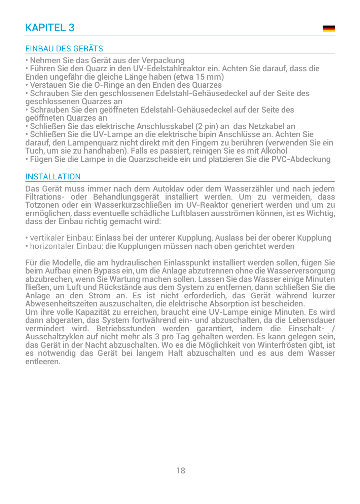# KAPITEL 3

## EINBAU DES GERÄTS

• Nehmen Sie das Gerät aus der Verpackung

• Führen Sie den Quarz in den UV-Edelstahlreaktor ein. Achten Sie darauf, dass die Enden ungefähr die gleiche Länge haben (etwa 15 mm)

• Verstauen Sie die O-Ringe an den Enden des Quarzes

• Schrauben Sie den geschlossenen Edelstahl-Gehäusedeckel auf der Seite des geschlossenen Quarzes an

• Schrauben Sie den geöffneten Edelstahl-Gehäusedeckel auf der Seite des geöffneten Quarzes an

• Schließen Sie das elektrische Anschlusskabel (2 pin) an das Netzkabel an

• Schließen Sie die UV-Lampe an die elektrische bipin Anschlüsse an. Achten Sie

darauf, den Lampenquarz nicht direkt mit den Fingern zu berühren (verwenden Sie ein

Tuch, um sie zu handhaben). Falls es passiert, reinigen Sie es mit Alkohol

• Fügen Sie die Lampe in die Quarzscheide ein und platzieren Sie die PVC-Abdeckung

## INSTALLATION

Das Gerät muss immer nach dem Autoklav oder dem Wasserzähler und nach jedem Filtrations- oder Behandlungsgerät installiert werden. Um zu vermeiden, dass Totzonen oder ein Wasserkurzschließen im UV-Reaktor generiert werden und um zu ermöglichen, dass eventuelle schädliche Luftblasen ausströmen können, ist es Wichtig, dass der Einbau richtig gemacht wird:

• vertikaler Einbau: Einlass bei der unterer Kupplung, Auslass bei der oberer Kupplung • horizontaler Einbau: die Kupplungen müssen nach oben gerichtet werden

Für die Modelle, die am hydraulischen Einlasspunkt installiert werden sollen, fügen Sie beim Aufbau einen Bypass ein, um die Anlage abzutrennen ohne die Wasserversorgung abzubrechen, wenn Sie Wartung machen sollen. Lassen Sie das Wasser einige Minuten fließen, um Luft und Rückstände aus dem System zu entfernen, dann schließen Sie die Anlage an den Strom an. Es ist nicht erforderlich, das Gerät während kurzer Abwesenheitszeiten auszuschalten, die elektrische Absorption ist bescheiden. Um ihre volle Kapazität zu erreichen, braucht eine UV-Lampe einige Minuten. Es wird dann abgeraten, das System fortwährend ein- und abzuschalten, da die Lebensdauer

vermindert wird. Betriebsstunden werden garantiert, indem die Einschalt- / Ausschaltzyklen auf nicht mehr als 3 pro Tag gehalten werden. Es kann gelegen sein, das Gerät in der Nacht abzuschalten. Wo es die Möglichkeit von Winterfrösten gibt, ist es notwendig das Gerät bei langem Halt abzuschalten und es aus dem Wasser entleeren.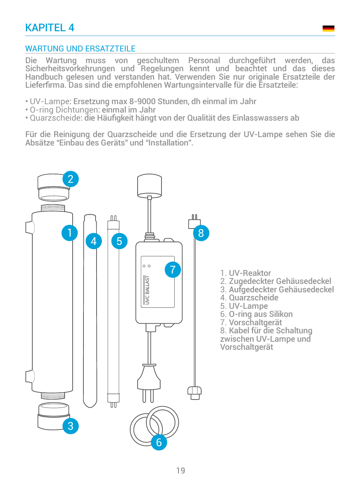## KAPITEL 4

## WARTUNG UND ERSATZTEILE

Die Wartung muss von geschultem Personal durchgeführt werden, das Sicherheitsvorkehrungen und Regelungen kennt und beachtet und das dieses Handbuch gelesen und verstanden hat. Verwenden Sie nur originale Ersatzteile der Lieferfirma. Das sind die empfohlenen Wartungsintervalle für die Ersatzteile:

- UV-Lampe: Ersetzung max 8-9000 Stunden, dh einmal im Jahr
- O-ring Dichtungen: einmal im Jahr
- Quarzscheide: die Häufigkeit hängt von der Qualität des Einlasswassers ab

Für die Reinigung der Quarzscheide und die Ersetzung der UV-Lampe sehen Sie die Absätze "Einbau des Geräts" und "Installation".

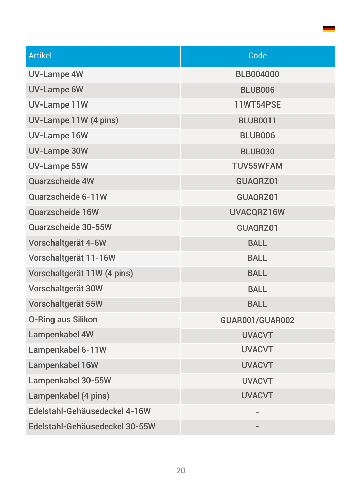| <b>Artikel</b>                 | Code                   |
|--------------------------------|------------------------|
| <b>UV-Lampe 4W</b>             | <b>BLB004000</b>       |
| <b>UV-Lampe 6W</b>             | <b>BLUB006</b>         |
| <b>UV-Lampe 11W</b>            | <b>11WT54PSE</b>       |
| UV-Lampe 11W (4 pins)          | <b>BLUB0011</b>        |
| <b>UV-Lampe 16W</b>            | <b>BLUB006</b>         |
| <b>UV-Lampe 30W</b>            | <b>BLUB030</b>         |
| <b>UV-Lampe 55W</b>            | <b>TUV55WFAM</b>       |
| Quarzscheide 4W                | GUAQRZ01               |
| Quarzscheide 6-11W             | GUAQRZ01               |
| Quarzscheide 16W               | UVACQRZ16W             |
| Quarzscheide 30-55W            | GUAQRZ01               |
| Vorschaltgerät 4-6W            | <b>BALL</b>            |
| Vorschaltgerät 11-16W          | <b>BALL</b>            |
| Vorschaltgerät 11W (4 pins)    | <b>BALL</b>            |
| Vorschaltgerät 30W             | <b>BALL</b>            |
| Vorschaltgerät 55W             | <b>BALL</b>            |
| <b>O-Ring aus Silikon</b>      | <b>GUAR001/GUAR002</b> |
| Lampenkabel 4W                 | <b>UVACVT</b>          |
| Lampenkabel 6-11W              | <b>UVACVT</b>          |
| Lampenkabel 16W                | <b>UVACVT</b>          |
| Lampenkabel 30-55W             | <b>UVACVT</b>          |
| Lampenkabel (4 pins)           | <b>UVACVT</b>          |
| Edelstahl-Gehäusedeckel 4-16W  |                        |
| Edelstahl-Gehäusedeckel 30-55W |                        |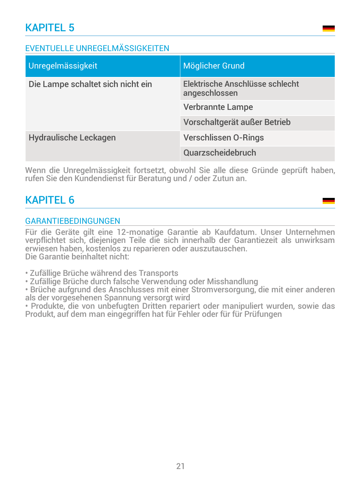## EVENTUELLE UNREGELMÄSSIGKEITEN

| Unregelmässigkeit                 | Möglicher Grund                                  |
|-----------------------------------|--------------------------------------------------|
| Die Lampe schaltet sich nicht ein | Elektrische Anschlüsse schlecht<br>angeschlossen |
|                                   | <b>Verbrannte Lampe</b>                          |
|                                   | Vorschaltgerät außer Betrieb                     |
| <b>Hydraulische Leckagen</b>      | <b>Verschlissen O-Rings</b>                      |
|                                   | Quarzscheidebruch                                |

Wenn die Unregelmässigkeit fortsetzt, obwohl Sie alle diese Gründe geprüft haben, rufen Sie den Kundendienst für Beratung und / oder Zutun an.

## KAPITEL 6

## GARANTIEBEDINGUNGEN

Für die Geräte gilt eine 12-monatige Garantie ab Kaufdatum. Unser Unternehmen verpflichtet sich, diejenigen Teile die sich innerhalb der Garantiezeit als unwirksam erwiesen haben, kostenlos zu reparieren oder auszutauschen. Die Garantie beinhaltet nicht:

• Zufällige Brüche während des Transports

• Zufällige Brüche durch falsche Verwendung oder Misshandlung

• Brüche aufgrund des Anschlusses mit einer Stromversorgung, die mit einer anderen als der vorgesehenen Spannung versorgt wird

• Produkte, die von unbefugten Dritten repariert oder manipuliert wurden, sowie das Produkt, auf dem man eingegriffen hat für Fehler oder für für Prüfungen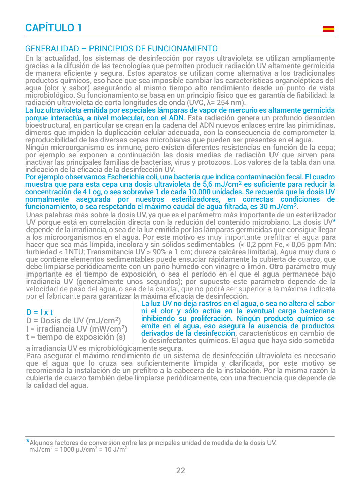# CAPÍTULO 1

### GENERALIDAD – PRINCIPIOS DE FUNCIONAMIENTO

En la actualidad, los sistemas de desinfección por rayos ultravioleta se utilizan ampliamente gracias a la difusión de las tecnologías que permiten producir radiación UV altamente germicida de manera eficiente y segura. Estos aparatos se utilizan come alternativa a los tradicionales productos químicos, eso hace que sea imposible cambiar las características organolépticas del agua (olor y sabor) asegurándo al mismo tiempo alto rendimiento desde un punto de vista microbiológico. Su funcionamiento se basa en un principio físico que es garantía de fiabilidad: la radiación ultravioleta de corta longitudes de onda (UVC, λ= 254 nm).

La luz ultravioleta emitida por especiales lámparas de vapor de mercurio es altamente germicida porque interactúa, a nivel molecular, con el ADN. Esta radiación genera un profundo desorden bioestructural, en particular se crean en la cadena del ADN nuevos enlaces entre las pirimidinas, dímeros que impiden la duplicación celular adecuada, con la consecuencia de comprometer la reproducibilidad de las diversas cepas microbianas que pueden ser presentes en el agua.

Ningún microorganismo es inmune, pero existen diferentes resistencias en función de la cepa; por ejemplo se exponen a continuación las dosis medias de radiación UV que sirven para inactivar las principales familias de bacterias, virus y protozoos. Los valores de la tabla dan una indicación de la eficacia de la desinfección UV.

Por ejemplo observamos Escherichia coli, una bacteria que indica contaminación fecal. El cuadro muestra que para esta cepa una dosis ultravioleta de 5,6 mJ/cm2 es suficiente para reducir la concentración de 4 Log, o sea sobrevive 1 de cada 10.000 unidades. Se recuerda que la dosis UV normalmente asegurada por nuestros esterilizadores, en correctas condiciones de funcionamiento, o sea respetando el máximo caudal de agua filtrada, es 30 mJ/cm2.

Unas palabras más sobre la dosis UV, ya que es el parámetro más importante de un esterilizador UV porque está en correlación directa con la redución del contenido microbiano. La dosis UV\* depende de la irradiancia, o sea de la luz emitida por las lámparas germicidas que consigue llegar a los microorganismos en el agua. Por este motivo es muy importante prefiltrar el agua para hacer que sea más límpida, incolora y sin sólidos sedimentables (< 0,2 ppm Fe, < 0,05 ppm Mn; turbiedad < 1NTU; Transmitancia UV > 90% a 1 cm; dureza calcárea limitada). Agua muy dura o que contiene elementos sedimentables puede ensuciar rápidamente la cubierta de cuarzo, que debe limpiarse periódicamente con un paño húmedo con vinagre o limón. Otro parámetro muy importante es el tiempo de exposición, o sea el período en el que el agua permanece bajo irradiancia UV (generalmente unos segundos); por supuesto este parámetro depende de la velocidad de paso del agua, o sea de la caudal, que no podrá ser superior a la máxima indicata por el fabricante para garantizar la máxima eficacia de desinfección.

#### $D = l \times t$

D = Dosis de UV (mJ/cm<sup>2</sup> ) I = irradiancia UV (mW/cm<sup>2</sup> ) t = tiempo de exposición (s)

La luz UV no deja rastros en el agua, o sea no altera el sabor ni el olor y sólo actúa en la eventual carga bacteriana inhibiendo su proliferación. Ningún producto químico se emite en el agua, eso asegura la ausencia de productos derivados de la desinfección, característicos en cambio de lo desinfectantes químicos. El agua que haya sido sometida

a irradiancia UV es microbiológicamente segura. Para asegurar el máximo rendimiento de un sistema de desinfección ultravioleta es necesario que el agua que lo cruza sea suficientemente límpida y clarificada, por este motivo se recomienda la instalación de un prefiltro a la cabecera de la instalación. Por la misma razón la cubierta de cuarzo también debe limpiarse periódicamente, con una frecuencia que depende de la calidad del agua.

<sup>\*</sup>Algunos factores de conversión entre las principales unidad de medida de la dosis UV: mJ/cm<sup>2</sup> = 1000  $\mu$ J/cm<sup>2</sup> = 10 J/m<sup>2</sup>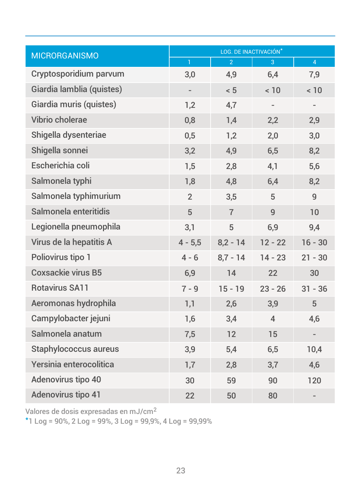| <b>MICRORGANISMO</b>         | LOG. DE INACTIVACIÓN*    |                |                |                |  |  |
|------------------------------|--------------------------|----------------|----------------|----------------|--|--|
|                              | $\mathbf{1}$             | $\overline{2}$ | 3              | $\overline{4}$ |  |  |
| Cryptosporidium parvum       | 3,0                      | 4,9            | 6,4            | 7,9            |  |  |
| Giardia lamblia (quistes)    | $\overline{\phantom{0}}$ | < 5            | < 10           | < 10           |  |  |
| Giardia muris (quistes)      | 1,2                      | 4,7            |                |                |  |  |
| Vibrio cholerae              | 0,8                      | 1,4            | 2,2            | 2,9            |  |  |
| Shigella dysenteriae         | 0,5                      | 1,2            | 2,0            | 3,0            |  |  |
| Shigella sonnei              | 3,2                      | 4,9            | 6,5            | 8,2            |  |  |
| Escherichia coli             | 1,5                      | 2,8            | 4,1            | 5,6            |  |  |
| Salmonela typhi              | 1,8                      | 4,8            | 6,4            | 8,2            |  |  |
| Salmonela typhimurium        | $\overline{2}$           | 3,5            | 5              | 9              |  |  |
| Salmonela enteritidis        | 5                        | $\overline{7}$ | $\overline{9}$ | 10             |  |  |
| Legionella pneumophila       | 3,1                      | 5              | 6,9            | 9,4            |  |  |
| Virus de la hepatitis A      | $4 - 5,5$                | $8,2 - 14$     | $12 - 22$      | $16 - 30$      |  |  |
| Poliovirus tipo 1            | $4 - 6$                  | $8,7 - 14$     | $14 - 23$      | $21 - 30$      |  |  |
| <b>Coxsackie virus B5</b>    | 6,9                      | 14             | 22             | 30             |  |  |
| <b>Rotavirus SA11</b>        | $7 - 9$                  | $15 - 19$      | $23 - 26$      | $31 - 36$      |  |  |
| Aeromonas hydrophila         | 1,1                      | 2,6            | 3,9            | 5              |  |  |
| Campylobacter jejuni         | 1,6                      | 3,4            | $\overline{4}$ | 4,6            |  |  |
| Salmonela anatum             | 7,5                      | 12             | 15             |                |  |  |
| <b>Staphylococcus aureus</b> | 3,9                      | 5,4            | 6,5            | 10,4           |  |  |
| Yersinia enterocolitica      | 1,7                      | 2,8            | 3,7            | 4,6            |  |  |
| Adenovirus tipo 40           | 30                       | 59             | 90             | 120            |  |  |
| Adenovirus tipo 41           | 22                       | 50             | 80             |                |  |  |

Valores de dosis expresadas en mJ/cm<sup>2</sup>

\*1 Log =  $90\%$ , 2 Log =  $99\%$ , 3 Log =  $99,9\%$ , 4 Log =  $99,99\%$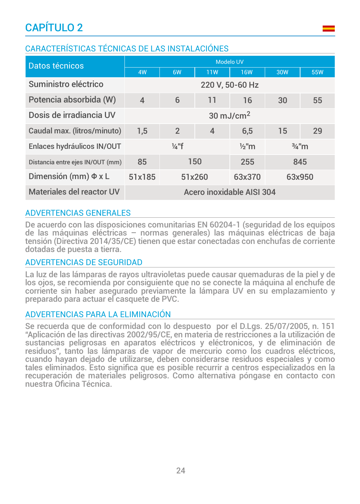# CAPÍTULO 2

## CARACTERÍSTICAS TÉCNICAS DE LAS INSTALACIÓNES

| Datos técnicos                   | <b>Modelo UV</b>                                         |                |                |            |        |            |
|----------------------------------|----------------------------------------------------------|----------------|----------------|------------|--------|------------|
|                                  | 4W                                                       | 6W             | 11W            | <b>16W</b> | 30W    | <b>55W</b> |
| Suministro eléctrico             | 220 V, 50-60 Hz                                          |                |                |            |        |            |
| Potencia absorbida (W)           | $\overline{4}$                                           | 6              | 11             | 16         | 30     | 55         |
| Dosis de irradiancia UV          | $30 \text{ mJ/cm}^2$                                     |                |                |            |        |            |
| Caudal max. (litros/minuto)      | 1,5                                                      | $\overline{2}$ | $\overline{4}$ | 6,5        | 15     | 29         |
| Enlaces hydráulicos IN/OUT       | $\frac{1}{4}$ "f<br>$\frac{1}{2}$ "m<br>$\frac{3}{4}$ "m |                |                |            |        |            |
| Distancia entre ejes IN/OUT (mm) | 150<br>85                                                |                | 255            |            | 845    |            |
| Dimensión (mm) Φ x L             | 51x185<br>51x260                                         |                | 63x370         |            | 63x950 |            |
| Materiales del reactor UV        | Acero inoxidable AISI 304                                |                |                |            |        |            |

## ADVERTENCIAS GENERALES

De acuerdo con las disposiciones comunitarias EN 60204-1 (seguridad de los equipos de las máquinas eléctricas – normas generales) las máquinas eléctricas de baja tensión (Directiva 2014/35/CE) tienen que estar conectadas con enchufas de corriente dotadas de puesta a tierra.

## ADVERTENCIAS DE SEGURIDAD

La luz de las lámparas de rayos ultravioletas puede causar quemaduras de la piel y de los ojos, se recomienda por consiguiente que no se conecte la máquina al enchufe de corriente sin haber asegurado previamente la lámpara UV en su emplazamiento y preparado para actuar el casquete de PVC.

#### ADVERTENCIAS PARA LA ELIMINACIÓN

Se recuerda que de conformidad con lo despuesto por el D.Lgs. 25/07/2005, n. 151 "Aplicación de las directivas 2002/95/CE, en materia de restricciones a la utilización de sustancias peligrosas en aparatos eléctricos y eléctronicos, y de eliminación de residuos", tanto las lámparas de vapor de mercurio como los cuadros eléctricos, cuando hayan dejado de utilizarse, deben considerarse residuos especiales y como tales eliminados. Esto significa que es posible recurrir a centros especializados en la recuperación de materiales peligrosos. Como alternativa póngase en contacto con nuestra Oficina Técnica.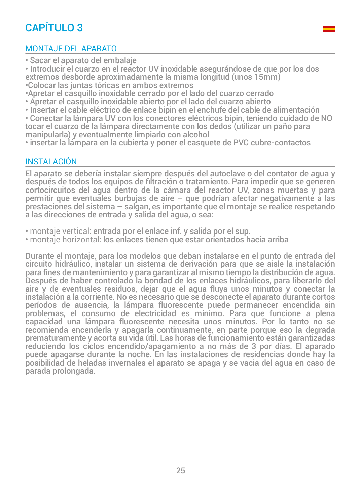## MONTAJE DEL APARATO

• Sacar el aparato del embalaje

• Introducir el cuarzo en el reactor UV inoxidable asegurándose de que por los dos extremos desborde aproximadamente la misma longitud (unos 15mm) •Colocar las juntas tóricas en ambos extremos

•Apretar el casquillo inoxidable cerrado por el lado del cuarzo cerrado

- Apretar el casquillo inoxidable abierto por el lado del cuarzo abierto
- Insertar el cable eléctrico de enlace bipin en el enchufe del cable de alimentación

• Conectar la lámpara UV con los conectores eléctricos bipin, teniendo cuidado de NO tocar el cuarzo de la lámpara directamente con los dedos (utilizar un paño para manipularla) y eventualmente limpiarlo con alcohol

• insertar la lámpara en la cubierta y poner el casquete de PVC cubre-contactos

## INSTALACIÓN

El aparato se debería instalar siempre después del autoclave o del contator de agua y después de todos los equipos de filtración o tratamiento. Para impedir que se generen cortocircuitos del agua dentro de la cámara del reactor UV, zonas muertas y para permitir que eventuales burbujas de aire – que podrían afectar negativamente a las prestaciones del sistema – salgan, es importante que el montaje se realice respetando a las direcciones de entrada y salida del agua, o sea:

- montaje vertical: entrada por el enlace inf. y salida por el sup.
- montaje horizontal: los enlaces tienen que estar orientados hacia arriba

Durante el montaje, para los modelos que deban instalarse en el punto de entrada del circuito hidráulico, instalar un sistema de derivación para que se aisle la instalación para fines de mantenimiento y para garantizar al mismo tiempo la distribución de agua. Después de haber controlado la bondad de los enlaces hidráulicos, para liberarlo del aire y de eventuales residuos, dejar que el agua fluya unos minutos y conectar la instalación a la corriente. No es necesario que se desconecte el aparato durante cortos períodos de ausencia, la lámpara fluorescente puede permanecer encendida sin problemas, el consumo de electricidad es mínimo. Para que funcione a plena capacidad una lámpara fluorescente necesita unos minutos. Por lo tanto no se recomienda encenderla y apagarla continuamente, en parte porque eso la degrada prematuramente y acorta su vida útil. Las horas de funcionamiento están garantizadas reduciendo los ciclos encendido/apagamiento a no más de 3 por días. El aparado puede apagarse durante la noche. En las instalaciones de residencias donde hay la posibilidad de heladas invernales el aparato se apaga y se vacia del agua en caso de parada prolongada.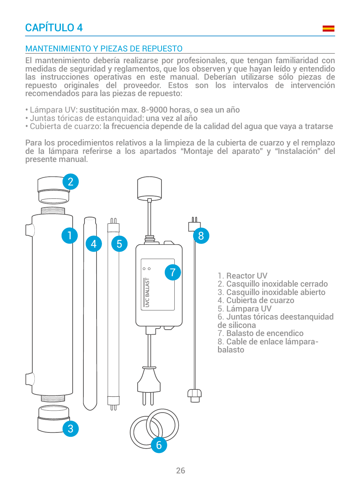## MANTENIMIENTO Y PIEZAS DE REPUESTO

El mantenimiento debería realizarse por profesionales, que tengan familiaridad con medidas de seguridad y reglamentos, que los observen y que hayan leído y entendido las instrucciones operativas en este manual. Deberían utilizarse sólo piezas de repuesto originales del proveedor. Estos son los intervalos de intervención recomendados para las piezas de repuesto:

- Lámpara UV: sustitución max. 8-9000 horas, o sea un año
- Juntas tóricas de estanquidad: una vez al año
- Cubierta de cuarzo: la frecuencia depende de la calidad del agua que vaya a tratarse

Para los procedimientos relativos a la limpieza de la cubierta de cuarzo y el remplazo de la lámpara referirse a los apartados "Montaje del aparato" y "Instalación" del presente manual.

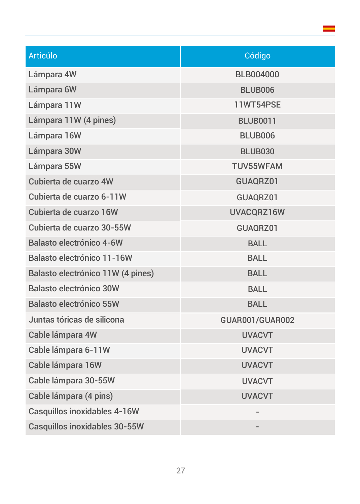| Articúlo                             | Código           |
|--------------------------------------|------------------|
| Lámpara 4W                           | <b>BLB004000</b> |
| Lámpara 6W                           | <b>BLUB006</b>   |
| Lámpara 11W                          | <b>11WT54PSE</b> |
| Lámpara 11W (4 pines)                | <b>BLUB0011</b>  |
| Lámpara 16W                          | <b>BLUB006</b>   |
| Lámpara 30W                          | <b>BLUB030</b>   |
| Lámpara 55W                          | <b>TUV55WFAM</b> |
| Cubierta de cuarzo 4W                | GUAQRZ01         |
| Cubierta de cuarzo 6-11W             | GUAQRZ01         |
| Cubierta de cuarzo 16W               | UVACQRZ16W       |
| Cubierta de cuarzo 30-55W            | GUAQRZ01         |
| <b>Balasto electrónico 4-6W</b>      | <b>BALL</b>      |
| Balasto electrónico 11-16W           | <b>BALL</b>      |
| Balasto electrónico 11W (4 pines)    | <b>BALL</b>      |
| <b>Balasto electrónico 30W</b>       | <b>BALL</b>      |
| <b>Balasto electrónico 55W</b>       | <b>BALL</b>      |
| Juntas tóricas de silicona           | GUAR001/GUAR002  |
| Cable lámpara 4W                     | <b>UVACVT</b>    |
| Cable lámpara 6-11W                  | <b>UVACVT</b>    |
| Cable lámpara 16W                    | <b>UVACVT</b>    |
| Cable lámpara 30-55W                 | <b>UVACVT</b>    |
| Cable lámpara (4 pins)               | <b>UVACVT</b>    |
| <b>Casquillos inoxidables 4-16W</b>  |                  |
| <b>Casquillos inoxidables 30-55W</b> |                  |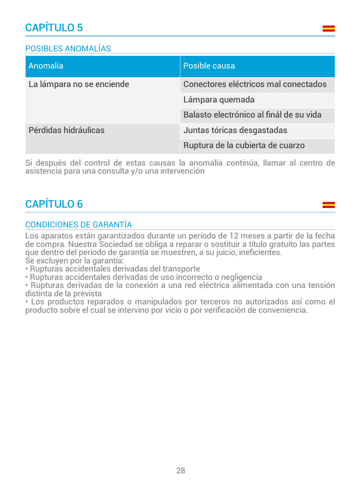# CAPÍTULO 5

## POSIBLES ANOMALÍAS

| Anomalía                  | Posible causa                           |
|---------------------------|-----------------------------------------|
| La lámpara no se enciende | Conectores eléctricos mal conectados    |
|                           | Lámpara quemada                         |
|                           | Balasto electrónico al finál de su vida |
| Pérdidas hidráulicas      | Juntas tóricas desgastadas              |
|                           | Ruptura de la cubierta de cuarzo        |

Si después del control de estas causas la anomalía continúa, llamar al centro de asistencia para una consulta y/o una intervención

# CAPÍTULO 6

## CONDICIONES DE GARANTÍA

Los aparatos están garantizados durante un período de 12 meses a partir de la fecha de compra. Nuestra Sociedad se obliga a reparar o sostituir a título gratuito las partes que dentro del período de garantía se muestren, a su juicio, ineficientes. Se excluyen por la garantía:

• Rupturas accidentales derivadas del transporte

• Rupturas accidentales derivadas de uso incorrecto o negligencia

• Rupturas derivadas de la conexión a una red eléctrica alimentada con una tensión distinta de la prevista

• Los productos reparados o manipulados por terceros no autorizados así como el producto sobre el cual se intervino por vicio o por verificación de conveniencia.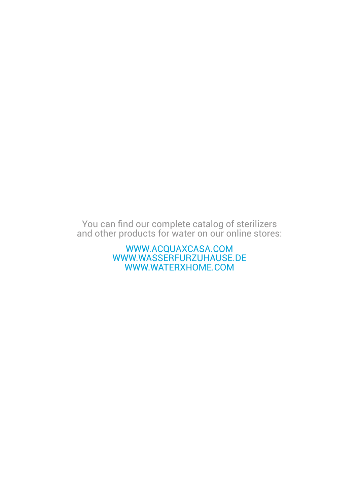You can find our complete catalog of sterilizers and other products for water on our online stores:

> WWW.ACQUAXCASA.COM WWW.WASSERFURZUHAUSE.DE WWW.WATERXHOME.COM